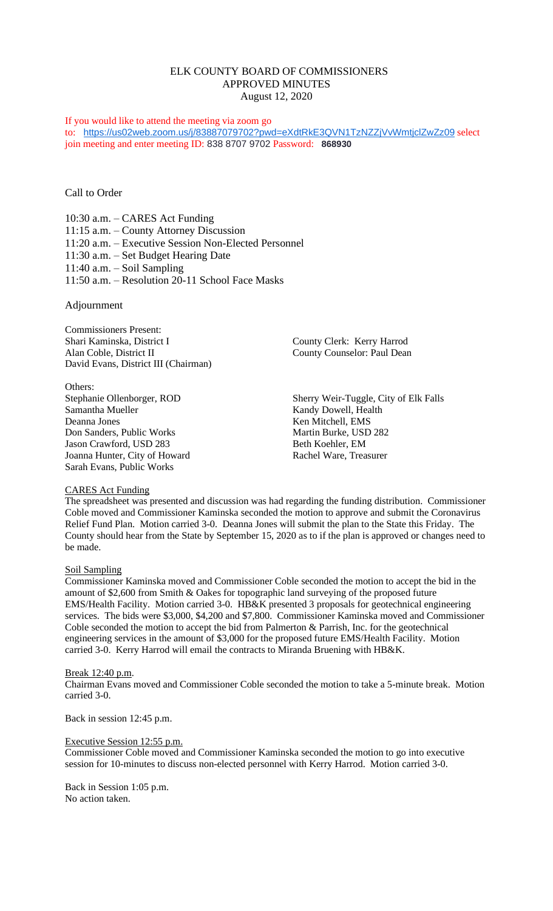# ELK COUNTY BOARD OF COMMISSIONERS APPROVED MINUTES August 12, 2020

#### If you would like to attend the meeting via zoom go

to: <https://us02web.zoom.us/j/83887079702?pwd=eXdtRkE3QVN1TzNZZjVvWmtjclZwZz09> select join meeting and enter meeting ID: 838 8707 9702 Password: **868930**

Call to Order

10:30 a.m. – CARES Act Funding 11:15 a.m. – County Attorney Discussion 11:20 a.m. – Executive Session Non-Elected Personnel 11:30 a.m. – Set Budget Hearing Date 11:40 a.m. – Soil Sampling 11:50 a.m. – Resolution 20-11 School Face Masks

Adjournment

Commissioners Present: Shari Kaminska, District I County Clerk: Kerry Harrod<br>Alan Coble, District II County Counselor: Paul Dean David Evans, District III (Chairman)

Others: Samantha Mueller Kandy Dowell, Health Deanna Jones<br>
Don Sanders, Public Works<br>
Don Sanders, Public Works<br>
Martin Burke, USD 282 Don Sanders, Public Works Jason Crawford, USD 283 Beth Koehler, EM Joanna Hunter, City of Howard Rachel Ware, Treasurer Sarah Evans, Public Works

County Counselor: Paul Dean

Stephanie Ollenborger, ROD Sherry Weir-Tuggle, City of Elk Falls

## CARES Act Funding

The spreadsheet was presented and discussion was had regarding the funding distribution. Commissioner Coble moved and Commissioner Kaminska seconded the motion to approve and submit the Coronavirus Relief Fund Plan. Motion carried 3-0. Deanna Jones will submit the plan to the State this Friday. The County should hear from the State by September 15, 2020 as to if the plan is approved or changes need to be made.

## Soil Sampling

Commissioner Kaminska moved and Commissioner Coble seconded the motion to accept the bid in the amount of \$2,600 from Smith & Oakes for topographic land surveying of the proposed future EMS/Health Facility. Motion carried 3-0. HB&K presented 3 proposals for geotechnical engineering services. The bids were \$3,000, \$4,200 and \$7,800. Commissioner Kaminska moved and Commissioner Coble seconded the motion to accept the bid from Palmerton & Parrish, Inc. for the geotechnical engineering services in the amount of \$3,000 for the proposed future EMS/Health Facility. Motion carried 3-0. Kerry Harrod will email the contracts to Miranda Bruening with HB&K.

#### Break 12:40 p.m.

Chairman Evans moved and Commissioner Coble seconded the motion to take a 5-minute break. Motion carried 3-0.

Back in session 12:45 p.m.

## Executive Session 12:55 p.m.

Commissioner Coble moved and Commissioner Kaminska seconded the motion to go into executive session for 10-minutes to discuss non-elected personnel with Kerry Harrod. Motion carried 3-0.

Back in Session 1:05 p.m. No action taken.